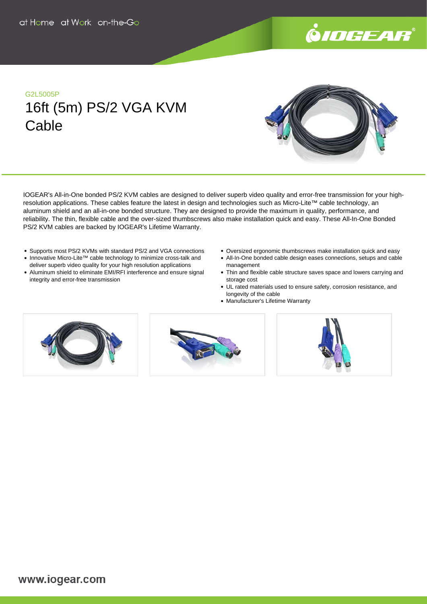

### G2L5005P

# 16ft (5m) PS/2 VGA KVM **Cable**



IOGEAR's All-in-One bonded PS/2 KVM cables are designed to deliver superb video quality and error-free transmission for your highresolution applications. These cables feature the latest in design and technologies such as Micro-Lite™ cable technology, an aluminum shield and an all-in-one bonded structure. They are designed to provide the maximum in quality, performance, and reliability. The thin, flexible cable and the over-sized thumbscrews also make installation quick and easy. These All-In-One Bonded PS/2 KVM cables are backed by IOGEAR's Lifetime Warranty.

- Supports most PS/2 KVMs with standard PS/2 and VGA connections
- Innovative Micro-Lite™ cable technology to minimize cross-talk and deliver superb video quality for your high resolution applications
- Aluminum shield to eliminate EMI/RFI interference and ensure signal integrity and error-free transmission
- Oversized ergonomic thumbscrews make installation quick and easy
- All-In-One bonded cable design eases connections, setups and cable management
- Thin and flexible cable structure saves space and lowers carrying and storage cost
- UL rated materials used to ensure safety, corrosion resistance, and longevity of the cable
- Manufacturer's Lifetime Warranty